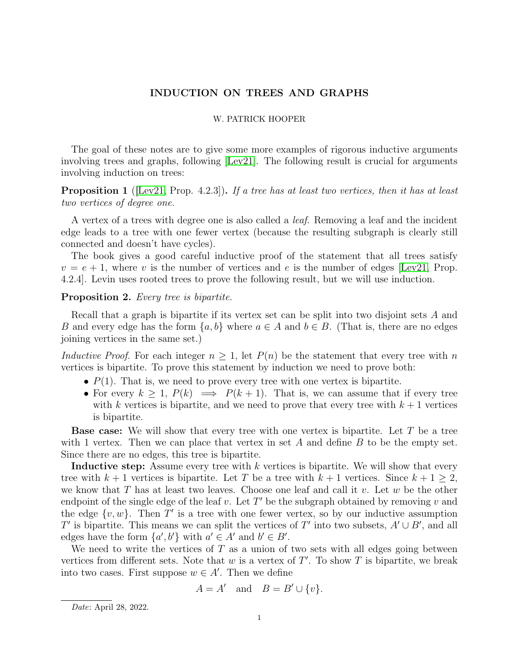# INDUCTION ON TREES AND GRAPHS

#### W. PATRICK HOOPER

The goal of these notes are to give some more examples of rigorous inductive arguments involving trees and graphs, following [\[Lev21\]](#page-3-0). The following result is crucial for arguments involving induction on trees:

**Proposition 1** ([\[Lev21,](#page-3-0) Prop. 4.2.3]). If a tree has at least two vertices, then it has at least two vertices of degree one.

A vertex of a trees with degree one is also called a leaf. Removing a leaf and the incident edge leads to a tree with one fewer vertex (because the resulting subgraph is clearly still connected and doesn't have cycles).

The book gives a good careful inductive proof of the statement that all trees satisfy  $v = e + 1$ , where v is the number of vertices and e is the number of edges [\[Lev21,](#page-3-0) Prop. 4.2.4]. Levin uses rooted trees to prove the following result, but we will use induction.

### Proposition 2. Every tree is bipartite.

Recall that a graph is bipartite if its vertex set can be split into two disjoint sets A and B and every edge has the form  $\{a, b\}$  where  $a \in A$  and  $b \in B$ . (That is, there are no edges joining vertices in the same set.)

Inductive Proof. For each integer  $n \geq 1$ , let  $P(n)$  be the statement that every tree with n vertices is bipartite. To prove this statement by induction we need to prove both:

- $P(1)$ . That is, we need to prove every tree with one vertex is bipartite.
- For every  $k \geq 1$ ,  $P(k) \implies P(k+1)$ . That is, we can assume that if every tree with k vertices is bipartite, and we need to prove that every tree with  $k + 1$  vertices is bipartite.

**Base case:** We will show that every tree with one vertex is bipartite. Let  $T$  be a tree with 1 vertex. Then we can place that vertex in set  $A$  and define  $B$  to be the empty set. Since there are no edges, this tree is bipartite.

Inductive step: Assume every tree with  $k$  vertices is bipartite. We will show that every tree with  $k+1$  vertices is bipartite. Let T be a tree with  $k+1$  vertices. Since  $k+1 \geq 2$ , we know that T has at least two leaves. Choose one leaf and call it v. Let  $w$  be the other endpoint of the single edge of the leaf  $v$ . Let  $T'$  be the subgraph obtained by removing  $v$  and the edge  $\{v, w\}$ . Then T' is a tree with one fewer vertex, so by our inductive assumption T' is bipartite. This means we can split the vertices of T' into two subsets,  $A' \cup B'$ , and all edges have the form  $\{a', b'\}$  with  $a' \in A'$  and  $b' \in B'$ .

We need to write the vertices of  $T$  as a union of two sets with all edges going between vertices from different sets. Note that  $w$  is a vertex of  $T'$ . To show  $T$  is bipartite, we break into two cases. First suppose  $w \in A'$ . Then we define

$$
A = A' \quad \text{and} \quad B = B' \cup \{v\}.
$$

Date: April 28, 2022.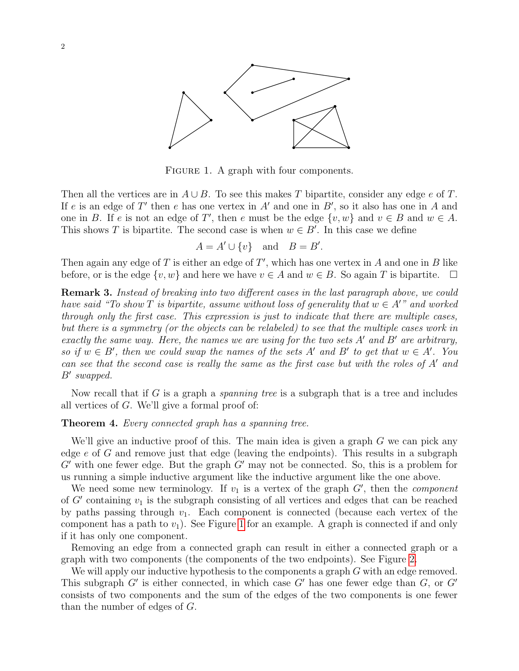

<span id="page-1-0"></span>FIGURE 1. A graph with four components.

Then all the vertices are in  $A \cup B$ . To see this makes T bipartite, consider any edge e of T. If e is an edge of T' then e has one vertex in  $A'$  and one in  $B'$ , so it also has one in A and one in B. If e is not an edge of T', then e must be the edge  $\{v, w\}$  and  $v \in B$  and  $w \in A$ . This shows T is bipartite. The second case is when  $w \in B'$ . In this case we define

$$
A = A' \cup \{v\} \quad \text{and} \quad B = B'.
$$

Then again any edge of T is either an edge of  $T'$ , which has one vertex in A and one in B like before, or is the edge  $\{v, w\}$  and here we have  $v \in A$  and  $w \in B$ . So again T is bipartite.  $\square$ 

Remark 3. Instead of breaking into two different cases in the last paragraph above, we could have said "To show T is bipartite, assume without loss of generality that  $w \in A''$  and worked through only the first case. This expression is just to indicate that there are multiple cases, but there is a symmetry (or the objects can be relabeled) to see that the multiple cases work in exactly the same way. Here, the names we are using for the two sets  $A'$  and  $B'$  are arbitrary, so if  $w \in B'$ , then we could swap the names of the sets A' and B' to get that  $w \in A'$ . You can see that the second case is really the same as the first case but with the roles of  $A'$  and  $B'$  swapped.

Now recall that if G is a graph a *spanning tree* is a subgraph that is a tree and includes all vertices of G. We'll give a formal proof of:

### <span id="page-1-1"></span>Theorem 4. Every connected graph has a spanning tree.

We'll give an inductive proof of this. The main idea is given a graph  $G$  we can pick any edge e of G and remove just that edge (leaving the endpoints). This results in a subgraph  $G'$  with one fewer edge. But the graph  $G'$  may not be connected. So, this is a problem for us running a simple inductive argument like the inductive argument like the one above.

We need some new terminology. If  $v_1$  is a vertex of the graph  $G'$ , then the *component* of  $G'$  containing  $v_1$  is the subgraph consisting of all vertices and edges that can be reached by paths passing through  $v_1$ . Each component is connected (because each vertex of the component has a path to  $v_1$ ). See Figure [1](#page-1-0) for an example. A graph is connected if and only if it has only one component.

Removing an edge from a connected graph can result in either a connected graph or a graph with two components (the components of the two endpoints). See Figure [2.](#page-2-0)

We will apply our inductive hypothesis to the components a graph  $G$  with an edge removed. This subgraph  $G'$  is either connected, in which case  $G'$  has one fewer edge than  $G$ , or  $G'$ consists of two components and the sum of the edges of the two components is one fewer than the number of edges of G.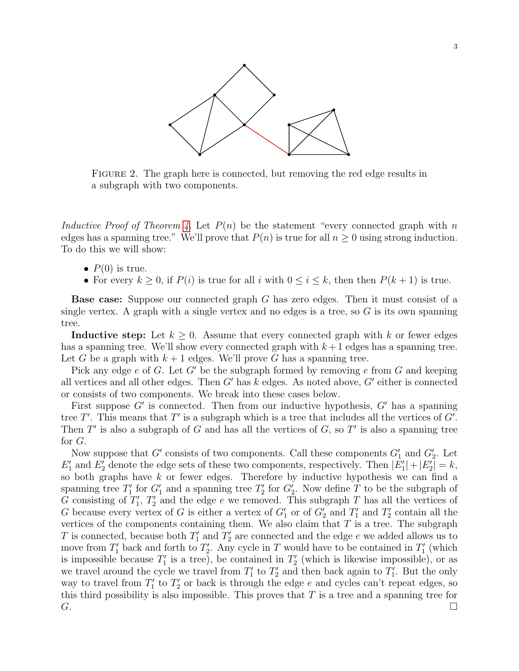

<span id="page-2-0"></span>FIGURE 2. The graph here is connected, but removing the red edge results in a subgraph with two components.

Inductive Proof of Theorem [4.](#page-1-1) Let  $P(n)$  be the statement "every connected graph with n edges has a spanning tree." We'll prove that  $P(n)$  is true for all  $n \geq 0$  using strong induction. To do this we will show:

- $P(0)$  is true.
- For every  $k > 0$ , if  $P(i)$  is true for all i with  $0 \le i \le k$ , then then  $P(k+1)$  is true.

Base case: Suppose our connected graph G has zero edges. Then it must consist of a single vertex. A graph with a single vertex and no edges is a tree, so  $G$  is its own spanning tree.

**Inductive step:** Let  $k \geq 0$ . Assume that every connected graph with k or fewer edges has a spanning tree. We'll show every connected graph with  $k+1$  edges has a spanning tree. Let G be a graph with  $k+1$  edges. We'll prove G has a spanning tree.

Pick any edge e of G. Let G' be the subgraph formed by removing e from G and keeping all vertices and all other edges. Then  $G'$  has  $k$  edges. As noted above,  $G'$  either is connected or consists of two components. We break into these cases below.

First suppose  $G'$  is connected. Then from our inductive hypothesis,  $G'$  has a spanning tree  $T'$ . This means that  $T'$  is a subgraph which is a tree that includes all the vertices of  $G'$ . Then  $T'$  is also a subgraph of G and has all the vertices of  $G$ , so  $T'$  is also a spanning tree for G.

Now suppose that  $G'$  consists of two components. Call these components  $G'_1$  and  $G'_2$ . Let  $E'_1$  and  $E'_2$  denote the edge sets of these two components, respectively. Then  $|E'_1|+|E'_2|=k$ , so both graphs have  $k$  or fewer edges. Therefore by inductive hypothesis we can find a spanning tree  $T_1'$  for  $G_1'$  and a spanning tree  $T_2'$  for  $G_2'$ . Now define T to be the subgraph of G consisting of  $T_1$ ,  $T_2$  and the edge e we removed. This subgraph T has all the vertices of G because every vertex of G is either a vertex of  $G'_1$  or of  $G'_2$  and  $T'_1$  and  $T'_2$  contain all the vertices of the components containing them. We also claim that  $T$  is a tree. The subgraph T is connected, because both  $T'_1$  and  $T'_2$  are connected and the edge e we added allows us to move from  $T_1'$  back and forth to  $T_2'$ . Any cycle in T would have to be contained in  $T_1'$  (which is impossible because  $T_1'$  is a tree), be contained in  $T_2'$  (which is likewise impossible), or as we travel around the cycle we travel from  $T_1'$  to  $T_2'$  and then back again to  $T_1'$ . But the only way to travel from  $T_1'$  to  $T_2'$  or back is through the edge e and cycles can't repeat edges, so this third possibility is also impossible. This proves that  $T$  is a tree and a spanning tree for  $G.$